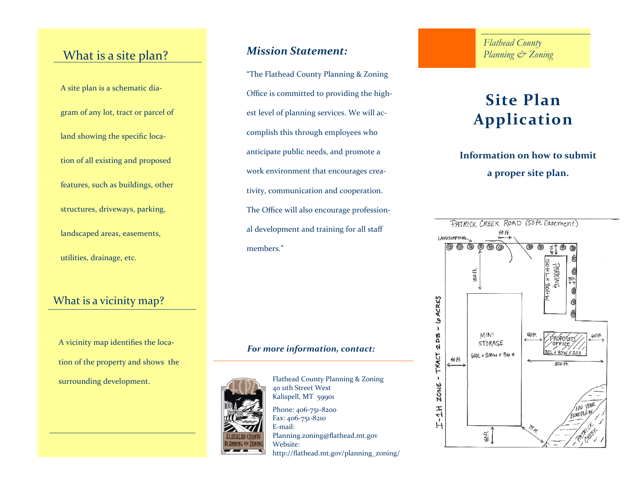# What is a site plan?

A site plan is a schematic diagram of any lot, tract or parcel of land showing the specific location of all existing and proposed features, such as buildings, other structures, driveways, parking, landscaped areas, easements, utilities, drainage, etc.

### What is a vicinity map?

A vicinity map identifies the location of the property and shows the surrounding development.

## *Mission Statement:*

"The Flathead County Planning & Zoning Office is committed to providing the highest level of planning services. We will accomplish this through employees who anticipate public needs, and promote a work environment that encourages creativity, communication and cooperation. The Office will also encourage professional development and training for all staff members."

#### *For more information, contact:*



40 11th Street West Kalispell, MT 59901 Phone: 406-751-8200 Fax: 406-751-8210 E-mail: Planning.zoning@flathead.mt.gov Website:

Flathead County Planning & Zoning

http://flathead.mt.gov/planning\_zoning/

*Flathead County Planning & Zoning*

# **Site Plan Application**

# **Information on how to submit a proper site plan.**